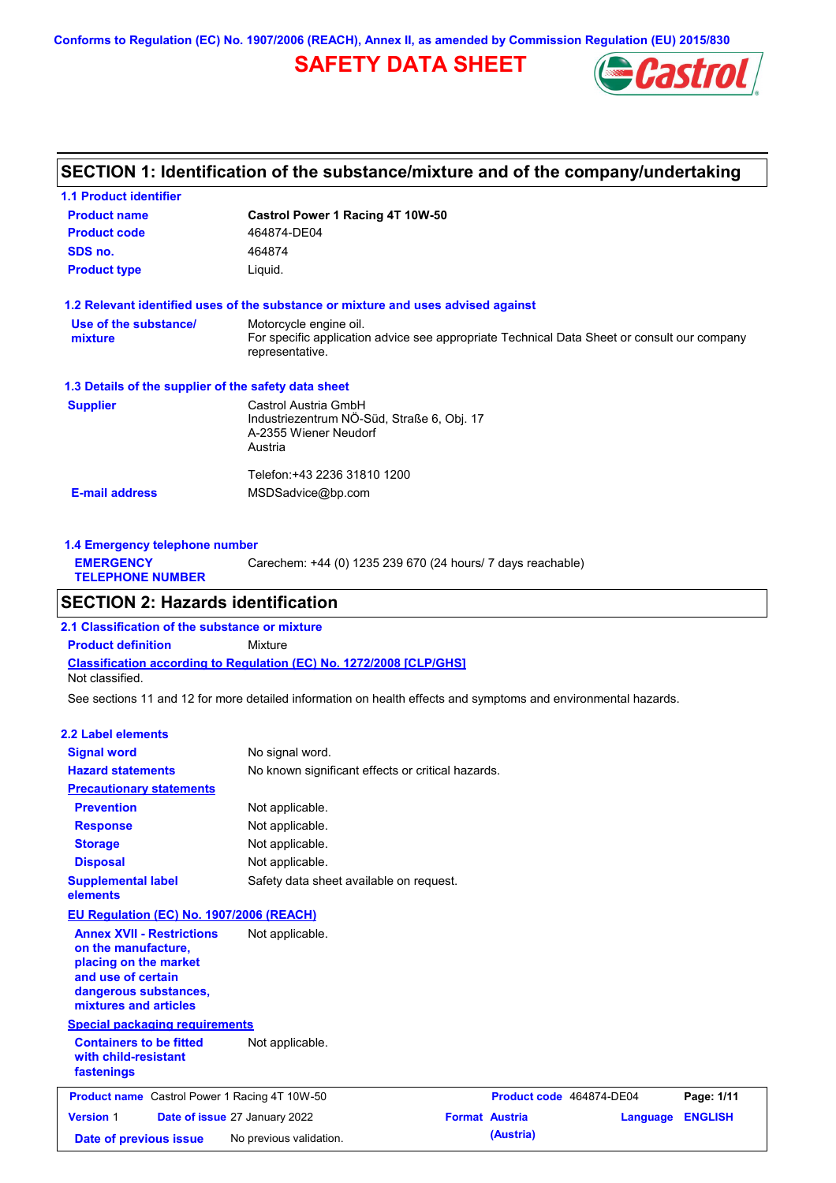**Conforms to Regulation (EC) No. 1907/2006 (REACH), Annex II, as amended by Commission Regulation (EU) 2015/830**

# **SAFETY DATA SHEET**



### **SECTION 1: Identification of the substance/mixture and of the company/undertaking**

| <b>1.1 Product identifier</b>                        |                                                                                                                                          |
|------------------------------------------------------|------------------------------------------------------------------------------------------------------------------------------------------|
| <b>Product name</b>                                  | Castrol Power 1 Racing 4T 10W-50                                                                                                         |
| <b>Product code</b>                                  | 464874-DE04                                                                                                                              |
| SDS no.                                              | 464874                                                                                                                                   |
| <b>Product type</b>                                  | Liquid.                                                                                                                                  |
|                                                      | 1.2 Relevant identified uses of the substance or mixture and uses advised against                                                        |
| Use of the substance/<br>mixture                     | Motorcycle engine oil.<br>For specific application advice see appropriate Technical Data Sheet or consult our company<br>representative. |
| 1.3 Details of the supplier of the safety data sheet |                                                                                                                                          |
| <b>Supplier</b>                                      | Castrol Austria GmbH<br>Industriezentrum NÖ-Süd, Straße 6, Obj. 17<br>A-2355 Wiener Neudorf<br>Austria                                   |
| <b>E-mail address</b>                                | Telefon:+43 2236 31810 1200<br>MSDSadvice@bp.com                                                                                         |

| 1.4 Emergency telephone number              |                                                             |
|---------------------------------------------|-------------------------------------------------------------|
| <b>EMERGENCY</b><br><b>TELEPHONE NUMBER</b> | Carechem: +44 (0) 1235 239 670 (24 hours/ 7 days reachable) |
|                                             |                                                             |

### **SECTION 2: Hazards identification**

**Classification according to Regulation (EC) No. 1272/2008 [CLP/GHS] 2.1 Classification of the substance or mixture Product definition** Mixture Not classified.

See sections 11 and 12 for more detailed information on health effects and symptoms and environmental hazards.

#### **2.2 Label elements**

| <b>Signal word</b><br><b>Hazard statements</b><br><b>Precautionary statements</b>                                                                                                                           | No signal word.<br>No known significant effects or critical hazards. |                                                   |          |                              |
|-------------------------------------------------------------------------------------------------------------------------------------------------------------------------------------------------------------|----------------------------------------------------------------------|---------------------------------------------------|----------|------------------------------|
| <b>Prevention</b><br><b>Response</b>                                                                                                                                                                        | Not applicable.<br>Not applicable.                                   |                                                   |          |                              |
| <b>Storage</b><br><b>Disposal</b>                                                                                                                                                                           | Not applicable.<br>Not applicable.                                   |                                                   |          |                              |
| <b>Supplemental label</b><br>elements                                                                                                                                                                       | Safety data sheet available on request.                              |                                                   |          |                              |
| <b>EU Regulation (EC) No. 1907/2006 (REACH)</b><br><b>Annex XVII - Restrictions</b><br>on the manufacture,<br>placing on the market<br>and use of certain<br>dangerous substances,<br>mixtures and articles | Not applicable.                                                      |                                                   |          |                              |
| <b>Special packaging requirements</b><br><b>Containers to be fitted</b><br>with child-resistant<br>fastenings                                                                                               | Not applicable.                                                      |                                                   |          |                              |
| <b>Product name</b> Castrol Power 1 Racing 4T 10W-50<br><b>Version 1</b>                                                                                                                                    | Date of issue 27 January 2022                                        | Product code 464874-DE04<br><b>Format Austria</b> | Language | Page: 1/11<br><b>ENGLISH</b> |
| Date of previous issue                                                                                                                                                                                      | No previous validation.                                              | (Austria)                                         |          |                              |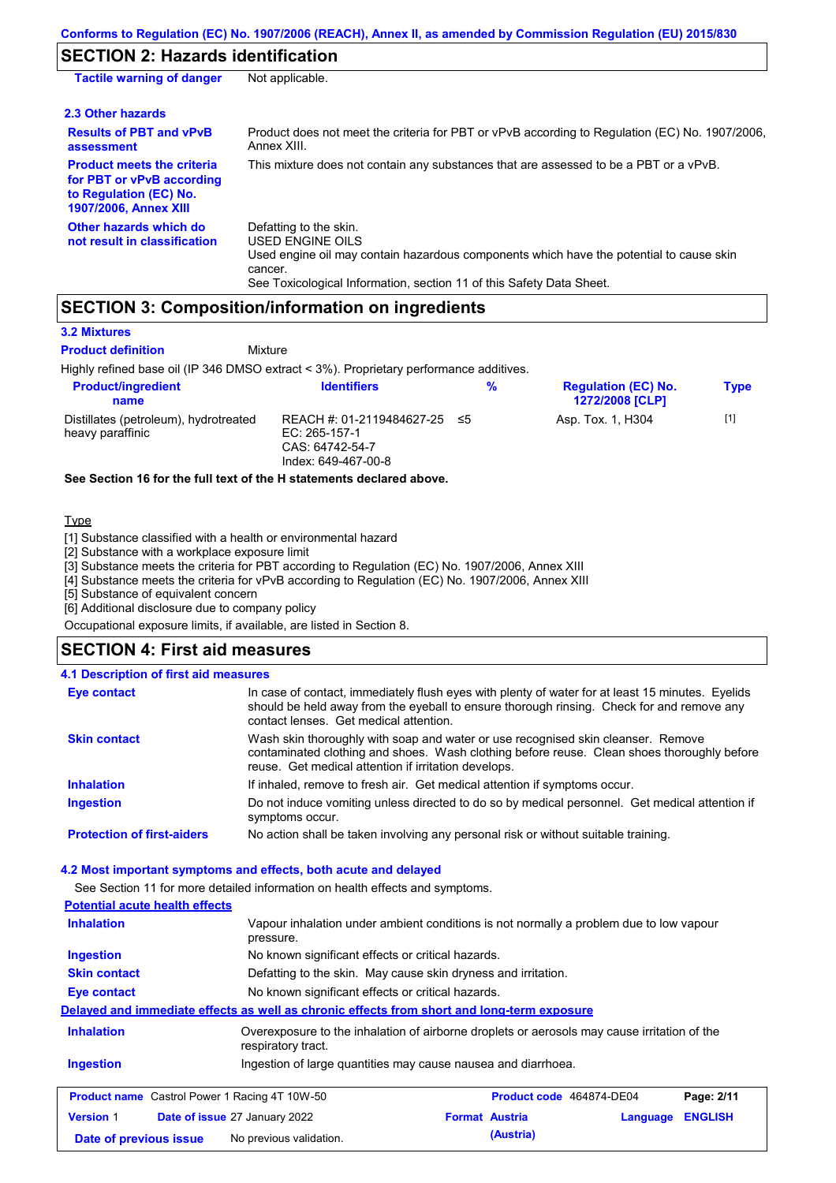# **SECTION 2: Hazards identification**

| <b>Tactile warning of danger</b>                                                                                         | Not applicable.                                                                                                                                                                                                                 |
|--------------------------------------------------------------------------------------------------------------------------|---------------------------------------------------------------------------------------------------------------------------------------------------------------------------------------------------------------------------------|
| 2.3 Other hazards                                                                                                        |                                                                                                                                                                                                                                 |
| <b>Results of PBT and vPvB</b><br>assessment                                                                             | Product does not meet the criteria for PBT or vPvB according to Regulation (EC) No. 1907/2006.<br>Annex XIII.                                                                                                                   |
| <b>Product meets the criteria</b><br>for PBT or vPvB according<br>to Regulation (EC) No.<br><b>1907/2006, Annex XIII</b> | This mixture does not contain any substances that are assessed to be a PBT or a vPvB.                                                                                                                                           |
| Other hazards which do<br>not result in classification                                                                   | Defatting to the skin.<br><b>USED ENGINE OILS</b><br>Used engine oil may contain hazardous components which have the potential to cause skin<br>cancer.<br>See Toxicological Information, section 11 of this Safety Data Sheet. |

### **SECTION 3: Composition/information on ingredients**

**Mixture** 

#### **3.2 Mixtures**

**Product definition**

Highly refined base oil (IP 346 DMSO extract < 3%). Proprietary performance additives.

| <b>Product/ingredient</b><br>name                         | <b>Identifiers</b>                                                                      | % | <b>Regulation (EC) No.</b><br><b>1272/2008 [CLP]</b> | <b>Type</b> |
|-----------------------------------------------------------|-----------------------------------------------------------------------------------------|---|------------------------------------------------------|-------------|
| Distillates (petroleum), hydrotreated<br>heavy paraffinic | REACH #: 01-2119484627-25 ≤5<br>EC: 265-157-1<br>CAS: 64742-54-7<br>Index: 649-467-00-8 |   | Asp. Tox. 1, H304                                    | $[1]$       |

**See Section 16 for the full text of the H statements declared above.**

#### Type

[1] Substance classified with a health or environmental hazard

[2] Substance with a workplace exposure limit

[3] Substance meets the criteria for PBT according to Regulation (EC) No. 1907/2006, Annex XIII

[4] Substance meets the criteria for vPvB according to Regulation (EC) No. 1907/2006, Annex XIII

[5] Substance of equivalent concern

[6] Additional disclosure due to company policy

Occupational exposure limits, if available, are listed in Section 8.

#### **SECTION 4: First aid measures**

#### **4.1 Description of first aid measures**

| <b>Eye contact</b>                | In case of contact, immediately flush eyes with plenty of water for at least 15 minutes. Eyelids<br>should be held away from the eyeball to ensure thorough rinsing. Check for and remove any<br>contact lenses. Get medical attention. |
|-----------------------------------|-----------------------------------------------------------------------------------------------------------------------------------------------------------------------------------------------------------------------------------------|
| <b>Skin contact</b>               | Wash skin thoroughly with soap and water or use recognised skin cleanser. Remove<br>contaminated clothing and shoes. Wash clothing before reuse. Clean shoes thoroughly before<br>reuse. Get medical attention if irritation develops.  |
| <b>Inhalation</b>                 | If inhaled, remove to fresh air. Get medical attention if symptoms occur.                                                                                                                                                               |
| <b>Ingestion</b>                  | Do not induce vomiting unless directed to do so by medical personnel. Get medical attention if<br>symptoms occur.                                                                                                                       |
| <b>Protection of first-aiders</b> | No action shall be taken involving any personal risk or without suitable training.                                                                                                                                                      |

#### **4.2 Most important symptoms and effects, both acute and delayed**

See Section 11 for more detailed information on health effects and symptoms.

#### **Potential acute health effects**

| <u> 30. mars avenue mechanicem de la</u>             |                                                                                                                   |                          |          |                |
|------------------------------------------------------|-------------------------------------------------------------------------------------------------------------------|--------------------------|----------|----------------|
| <b>Inhalation</b>                                    | Vapour inhalation under ambient conditions is not normally a problem due to low vapour<br>pressure.               |                          |          |                |
| <b>Ingestion</b>                                     | No known significant effects or critical hazards.                                                                 |                          |          |                |
| <b>Skin contact</b>                                  | Defatting to the skin. May cause skin dryness and irritation.                                                     |                          |          |                |
| Eye contact                                          | No known significant effects or critical hazards.                                                                 |                          |          |                |
|                                                      | Delayed and immediate effects as well as chronic effects from short and long-term exposure                        |                          |          |                |
| <b>Inhalation</b>                                    | Overexposure to the inhalation of airborne droplets or aerosols may cause irritation of the<br>respiratory tract. |                          |          |                |
| <b>Ingestion</b>                                     | Ingestion of large quantities may cause nausea and diarrhoea.                                                     |                          |          |                |
| <b>Product name</b> Castrol Power 1 Racing 4T 10W-50 |                                                                                                                   | Product code 464874-DE04 |          | Page: 2/11     |
| <b>Version 1</b>                                     | Date of issue 27 January 2022                                                                                     | <b>Format Austria</b>    | Language | <b>ENGLISH</b> |
| Date of previous issue                               | No previous validation.                                                                                           | (Austria)                |          |                |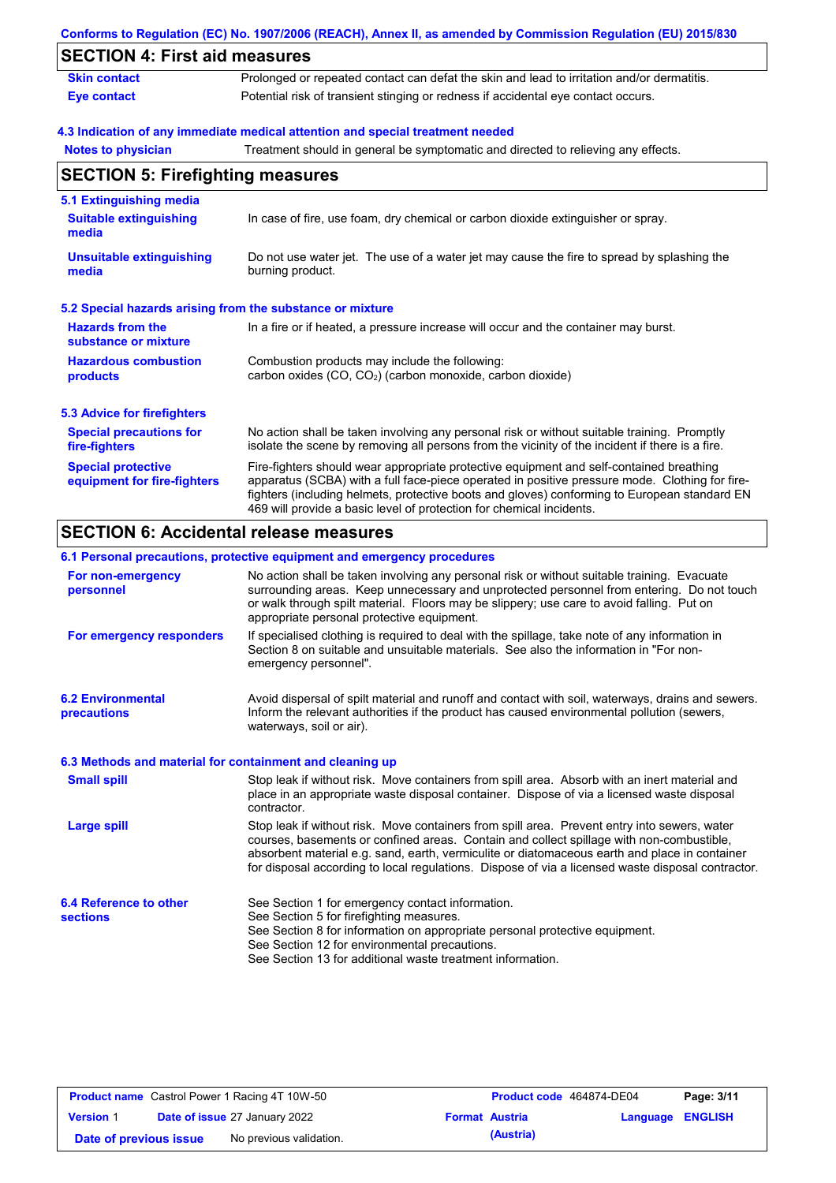|                                                           | Conforms to Regulation (EC) No. 1907/2006 (REACH), Annex II, as amended by Commission Regulation (EU) 2015/830                                                                                                                                                                                                                                                    |
|-----------------------------------------------------------|-------------------------------------------------------------------------------------------------------------------------------------------------------------------------------------------------------------------------------------------------------------------------------------------------------------------------------------------------------------------|
| <b>SECTION 4: First aid measures</b>                      |                                                                                                                                                                                                                                                                                                                                                                   |
| <b>Skin contact</b>                                       | Prolonged or repeated contact can defat the skin and lead to irritation and/or dermatitis.                                                                                                                                                                                                                                                                        |
| <b>Eye contact</b>                                        | Potential risk of transient stinging or redness if accidental eye contact occurs.                                                                                                                                                                                                                                                                                 |
|                                                           | 4.3 Indication of any immediate medical attention and special treatment needed                                                                                                                                                                                                                                                                                    |
| <b>Notes to physician</b>                                 | Treatment should in general be symptomatic and directed to relieving any effects.                                                                                                                                                                                                                                                                                 |
| <b>SECTION 5: Firefighting measures</b>                   |                                                                                                                                                                                                                                                                                                                                                                   |
| 5.1 Extinguishing media                                   |                                                                                                                                                                                                                                                                                                                                                                   |
| <b>Suitable extinguishing</b><br>media                    | In case of fire, use foam, dry chemical or carbon dioxide extinguisher or spray.                                                                                                                                                                                                                                                                                  |
| <b>Unsuitable extinguishing</b><br>media                  | Do not use water jet. The use of a water jet may cause the fire to spread by splashing the<br>burning product.                                                                                                                                                                                                                                                    |
| 5.2 Special hazards arising from the substance or mixture |                                                                                                                                                                                                                                                                                                                                                                   |
| <b>Hazards from the</b><br>substance or mixture           | In a fire or if heated, a pressure increase will occur and the container may burst.                                                                                                                                                                                                                                                                               |
| <b>Hazardous combustion</b><br>products                   | Combustion products may include the following:<br>carbon oxides (CO, CO <sub>2</sub> ) (carbon monoxide, carbon dioxide)                                                                                                                                                                                                                                          |
| <b>5.3 Advice for firefighters</b>                        |                                                                                                                                                                                                                                                                                                                                                                   |
| <b>Special precautions for</b><br>fire-fighters           | No action shall be taken involving any personal risk or without suitable training. Promptly<br>isolate the scene by removing all persons from the vicinity of the incident if there is a fire.                                                                                                                                                                    |
| <b>Special protective</b><br>equipment for fire-fighters  | Fire-fighters should wear appropriate protective equipment and self-contained breathing<br>apparatus (SCBA) with a full face-piece operated in positive pressure mode. Clothing for fire-<br>fighters (including helmets, protective boots and gloves) conforming to European standard EN<br>469 will provide a basic level of protection for chemical incidents. |

# **SECTION 6: Accidental release measures**

|                                                          | 6.1 Personal precautions, protective equipment and emergency procedures                                                                                                                                                                                                                                                                                                                        |
|----------------------------------------------------------|------------------------------------------------------------------------------------------------------------------------------------------------------------------------------------------------------------------------------------------------------------------------------------------------------------------------------------------------------------------------------------------------|
| For non-emergency<br>personnel                           | No action shall be taken involving any personal risk or without suitable training. Evacuate<br>surrounding areas. Keep unnecessary and unprotected personnel from entering. Do not touch<br>or walk through spilt material. Floors may be slippery; use care to avoid falling. Put on<br>appropriate personal protective equipment.                                                            |
| For emergency responders                                 | If specialised clothing is required to deal with the spillage, take note of any information in<br>Section 8 on suitable and unsuitable materials. See also the information in "For non-<br>emergency personnel".                                                                                                                                                                               |
| <b>6.2 Environmental</b><br>precautions                  | Avoid dispersal of spilt material and runoff and contact with soil, waterways, drains and sewers.<br>Inform the relevant authorities if the product has caused environmental pollution (sewers,<br>waterways, soil or air).                                                                                                                                                                    |
| 6.3 Methods and material for containment and cleaning up |                                                                                                                                                                                                                                                                                                                                                                                                |
| <b>Small spill</b>                                       | Stop leak if without risk. Move containers from spill area. Absorb with an inert material and<br>place in an appropriate waste disposal container. Dispose of via a licensed waste disposal<br>contractor.                                                                                                                                                                                     |
| <b>Large spill</b>                                       | Stop leak if without risk. Move containers from spill area. Prevent entry into sewers, water<br>courses, basements or confined areas. Contain and collect spillage with non-combustible,<br>absorbent material e.g. sand, earth, vermiculite or diatomaceous earth and place in container<br>for disposal according to local regulations. Dispose of via a licensed waste disposal contractor. |
| 6.4 Reference to other<br><b>sections</b>                | See Section 1 for emergency contact information.<br>See Section 5 for firefighting measures.<br>See Section 8 for information on appropriate personal protective equipment.<br>See Section 12 for environmental precautions.<br>See Section 13 for additional waste treatment information.                                                                                                     |

| <b>Product name</b> Castrol Power 1 Racing 4T 10W-50 |  |                                      | Product code 464874-DE04 |           | Page: 3/11              |  |
|------------------------------------------------------|--|--------------------------------------|--------------------------|-----------|-------------------------|--|
| <b>Version 1</b>                                     |  | <b>Date of issue 27 January 2022</b> | <b>Format Austria</b>    |           | <b>Language ENGLISH</b> |  |
| Date of previous issue                               |  | No previous validation.              |                          | (Austria) |                         |  |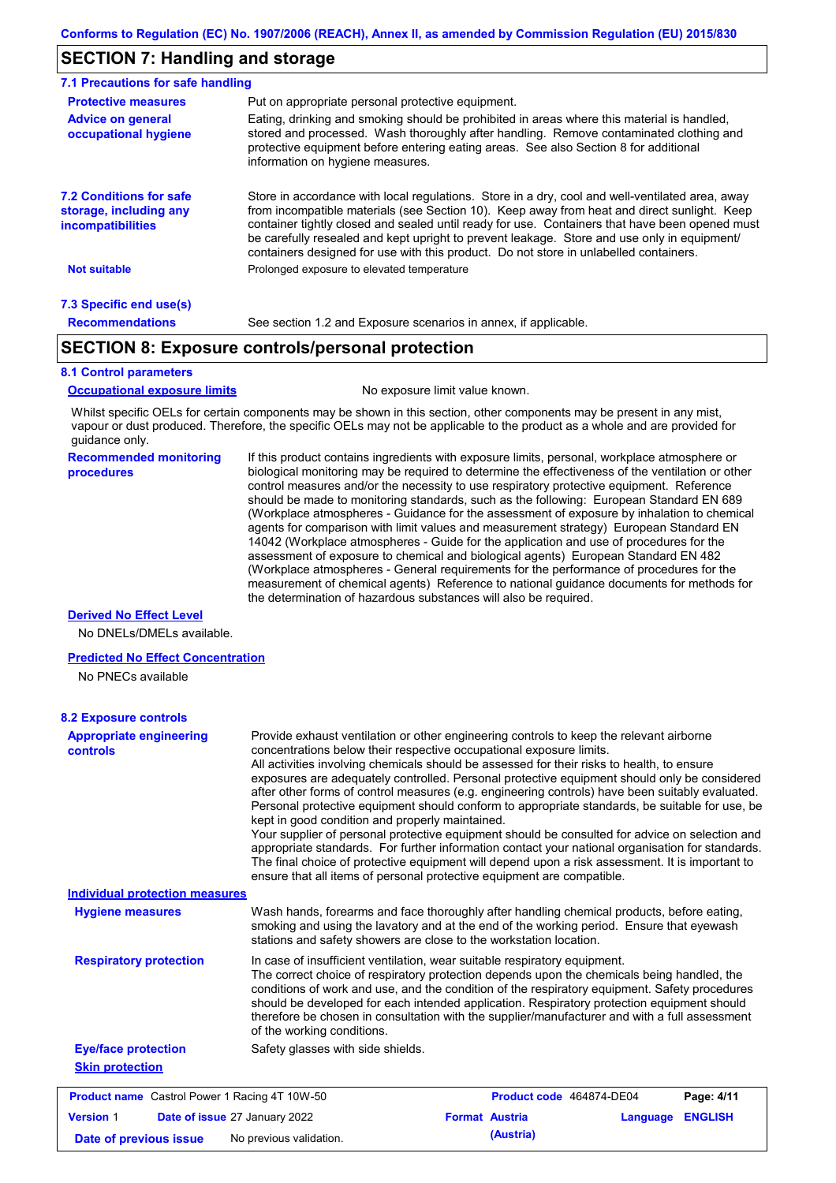### **SECTION 7: Handling and storage**

| 7.1 Precautions for safe handling                                                    |                                                                                                                                                                                                                                                                                                                                                                                                                                                                                          |
|--------------------------------------------------------------------------------------|------------------------------------------------------------------------------------------------------------------------------------------------------------------------------------------------------------------------------------------------------------------------------------------------------------------------------------------------------------------------------------------------------------------------------------------------------------------------------------------|
| <b>Protective measures</b>                                                           | Put on appropriate personal protective equipment.                                                                                                                                                                                                                                                                                                                                                                                                                                        |
| <b>Advice on general</b><br>occupational hygiene                                     | Eating, drinking and smoking should be prohibited in areas where this material is handled,<br>stored and processed. Wash thoroughly after handling. Remove contaminated clothing and<br>protective equipment before entering eating areas. See also Section 8 for additional<br>information on hygiene measures.                                                                                                                                                                         |
| <b>7.2 Conditions for safe</b><br>storage, including any<br><i>incompatibilities</i> | Store in accordance with local requlations. Store in a dry, cool and well-ventilated area, away<br>from incompatible materials (see Section 10). Keep away from heat and direct sunlight. Keep<br>container tightly closed and sealed until ready for use. Containers that have been opened must<br>be carefully resealed and kept upright to prevent leakage. Store and use only in equipment/<br>containers designed for use with this product. Do not store in unlabelled containers. |
| <b>Not suitable</b>                                                                  | Prolonged exposure to elevated temperature                                                                                                                                                                                                                                                                                                                                                                                                                                               |
| 7.3 Specific end use(s)                                                              |                                                                                                                                                                                                                                                                                                                                                                                                                                                                                          |
| <b>Recommendations</b>                                                               | See section 1.2 and Exposure scenarios in annex, if applicable.                                                                                                                                                                                                                                                                                                                                                                                                                          |

### **SECTION 8: Exposure controls/personal protection**

#### **8.1 Control parameters**

**Occupational exposure limits** No exposure limit value known.

Whilst specific OELs for certain components may be shown in this section, other components may be present in any mist, vapour or dust produced. Therefore, the specific OELs may not be applicable to the product as a whole and are provided for guidance only.

#### **Recommended monitoring procedures**

If this product contains ingredients with exposure limits, personal, workplace atmosphere or biological monitoring may be required to determine the effectiveness of the ventilation or other control measures and/or the necessity to use respiratory protective equipment. Reference should be made to monitoring standards, such as the following: European Standard EN 689 (Workplace atmospheres - Guidance for the assessment of exposure by inhalation to chemical agents for comparison with limit values and measurement strategy) European Standard EN 14042 (Workplace atmospheres - Guide for the application and use of procedures for the assessment of exposure to chemical and biological agents) European Standard EN 482 (Workplace atmospheres - General requirements for the performance of procedures for the measurement of chemical agents) Reference to national guidance documents for methods for the determination of hazardous substances will also be required.

#### **Derived No Effect Level**

No DNELs/DMELs available.

#### **Predicted No Effect Concentration**

No PNECs available

| <b>Appropriate engineering</b><br><b>controls</b>    | Provide exhaust ventilation or other engineering controls to keep the relevant airborne<br>concentrations below their respective occupational exposure limits.<br>All activities involving chemicals should be assessed for their risks to health, to ensure<br>exposures are adequately controlled. Personal protective equipment should only be considered<br>after other forms of control measures (e.g. engineering controls) have been suitably evaluated.<br>Personal protective equipment should conform to appropriate standards, be suitable for use, be<br>kept in good condition and properly maintained.<br>Your supplier of personal protective equipment should be consulted for advice on selection and<br>appropriate standards. For further information contact your national organisation for standards.<br>The final choice of protective equipment will depend upon a risk assessment. It is important to<br>ensure that all items of personal protective equipment are compatible. |                                   |                |
|------------------------------------------------------|---------------------------------------------------------------------------------------------------------------------------------------------------------------------------------------------------------------------------------------------------------------------------------------------------------------------------------------------------------------------------------------------------------------------------------------------------------------------------------------------------------------------------------------------------------------------------------------------------------------------------------------------------------------------------------------------------------------------------------------------------------------------------------------------------------------------------------------------------------------------------------------------------------------------------------------------------------------------------------------------------------|-----------------------------------|----------------|
| <b>Individual protection measures</b>                |                                                                                                                                                                                                                                                                                                                                                                                                                                                                                                                                                                                                                                                                                                                                                                                                                                                                                                                                                                                                         |                                   |                |
| <b>Hygiene measures</b>                              | Wash hands, forearms and face thoroughly after handling chemical products, before eating,<br>smoking and using the lavatory and at the end of the working period. Ensure that eyewash<br>stations and safety showers are close to the workstation location.                                                                                                                                                                                                                                                                                                                                                                                                                                                                                                                                                                                                                                                                                                                                             |                                   |                |
| <b>Respiratory protection</b>                        | In case of insufficient ventilation, wear suitable respiratory equipment.<br>The correct choice of respiratory protection depends upon the chemicals being handled, the<br>conditions of work and use, and the condition of the respiratory equipment. Safety procedures<br>should be developed for each intended application. Respiratory protection equipment should<br>therefore be chosen in consultation with the supplier/manufacturer and with a full assessment<br>of the working conditions.                                                                                                                                                                                                                                                                                                                                                                                                                                                                                                   |                                   |                |
| <b>Eye/face protection</b>                           | Safety glasses with side shields.                                                                                                                                                                                                                                                                                                                                                                                                                                                                                                                                                                                                                                                                                                                                                                                                                                                                                                                                                                       |                                   |                |
| <b>Skin protection</b>                               |                                                                                                                                                                                                                                                                                                                                                                                                                                                                                                                                                                                                                                                                                                                                                                                                                                                                                                                                                                                                         |                                   |                |
| <b>Product name</b> Castrol Power 1 Racing 4T 10W-50 |                                                                                                                                                                                                                                                                                                                                                                                                                                                                                                                                                                                                                                                                                                                                                                                                                                                                                                                                                                                                         | Product code 464874-DE04          | Page: 4/11     |
| <b>Version 1</b>                                     | Date of issue 27 January 2022                                                                                                                                                                                                                                                                                                                                                                                                                                                                                                                                                                                                                                                                                                                                                                                                                                                                                                                                                                           | <b>Format Austria</b><br>Language | <b>ENGLISH</b> |
| Date of previous issue                               | No previous validation.                                                                                                                                                                                                                                                                                                                                                                                                                                                                                                                                                                                                                                                                                                                                                                                                                                                                                                                                                                                 | (Austria)                         |                |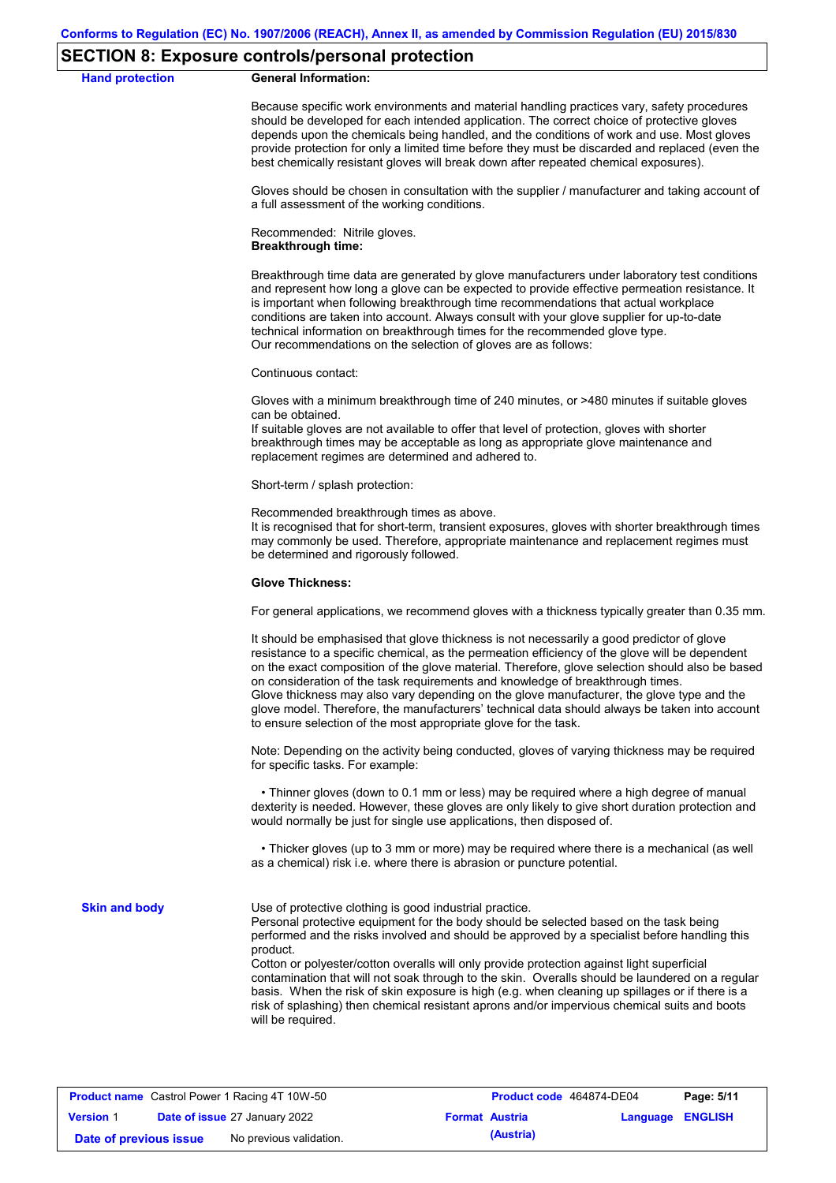#### **SECTION 8: Exposure controls/personal protection**

**Hand protection** 

Because specific work environments and material handling practices vary, safety procedures should be developed for each intended application. The correct choice of protective gloves depends upon the chemicals being handled, and the conditions of work and use. Most gloves provide protection for only a limited time before they must be discarded and replaced (even the best chemically resistant gloves will break down after repeated chemical exposures).

Gloves should be chosen in consultation with the supplier / manufacturer and taking account of a full assessment of the working conditions.

Recommended: Nitrile gloves. **Breakthrough time:**

Breakthrough time data are generated by glove manufacturers under laboratory test conditions and represent how long a glove can be expected to provide effective permeation resistance. It is important when following breakthrough time recommendations that actual workplace conditions are taken into account. Always consult with your glove supplier for up-to-date technical information on breakthrough times for the recommended glove type. Our recommendations on the selection of gloves are as follows:

Continuous contact:

Gloves with a minimum breakthrough time of 240 minutes, or >480 minutes if suitable gloves can be obtained.

If suitable gloves are not available to offer that level of protection, gloves with shorter breakthrough times may be acceptable as long as appropriate glove maintenance and replacement regimes are determined and adhered to.

Short-term / splash protection:

Recommended breakthrough times as above.

It is recognised that for short-term, transient exposures, gloves with shorter breakthrough times may commonly be used. Therefore, appropriate maintenance and replacement regimes must be determined and rigorously followed.

#### **Glove Thickness:**

For general applications, we recommend gloves with a thickness typically greater than 0.35 mm.

It should be emphasised that glove thickness is not necessarily a good predictor of glove resistance to a specific chemical, as the permeation efficiency of the glove will be dependent on the exact composition of the glove material. Therefore, glove selection should also be based on consideration of the task requirements and knowledge of breakthrough times. Glove thickness may also vary depending on the glove manufacturer, the glove type and the glove model. Therefore, the manufacturers' technical data should always be taken into account to ensure selection of the most appropriate glove for the task.

Note: Depending on the activity being conducted, gloves of varying thickness may be required for specific tasks. For example:

 • Thinner gloves (down to 0.1 mm or less) may be required where a high degree of manual dexterity is needed. However, these gloves are only likely to give short duration protection and would normally be just for single use applications, then disposed of.

 • Thicker gloves (up to 3 mm or more) may be required where there is a mechanical (as well as a chemical) risk i.e. where there is abrasion or puncture potential.

**Skin and body**

Use of protective clothing is good industrial practice.

Personal protective equipment for the body should be selected based on the task being performed and the risks involved and should be approved by a specialist before handling this product.

Cotton or polyester/cotton overalls will only provide protection against light superficial contamination that will not soak through to the skin. Overalls should be laundered on a regular basis. When the risk of skin exposure is high (e.g. when cleaning up spillages or if there is a risk of splashing) then chemical resistant aprons and/or impervious chemical suits and boots will be required.

|                        | <b>Product name</b> Castrol Power 1 Racing 4T 10W-50 | Product code 464874-DE04 |                         | Page: 5/11 |
|------------------------|------------------------------------------------------|--------------------------|-------------------------|------------|
| <b>Version 1</b>       | <b>Date of issue 27 January 2022</b>                 | <b>Format Austria</b>    | <b>Language ENGLISH</b> |            |
| Date of previous issue | No previous validation.                              | (Austria)                |                         |            |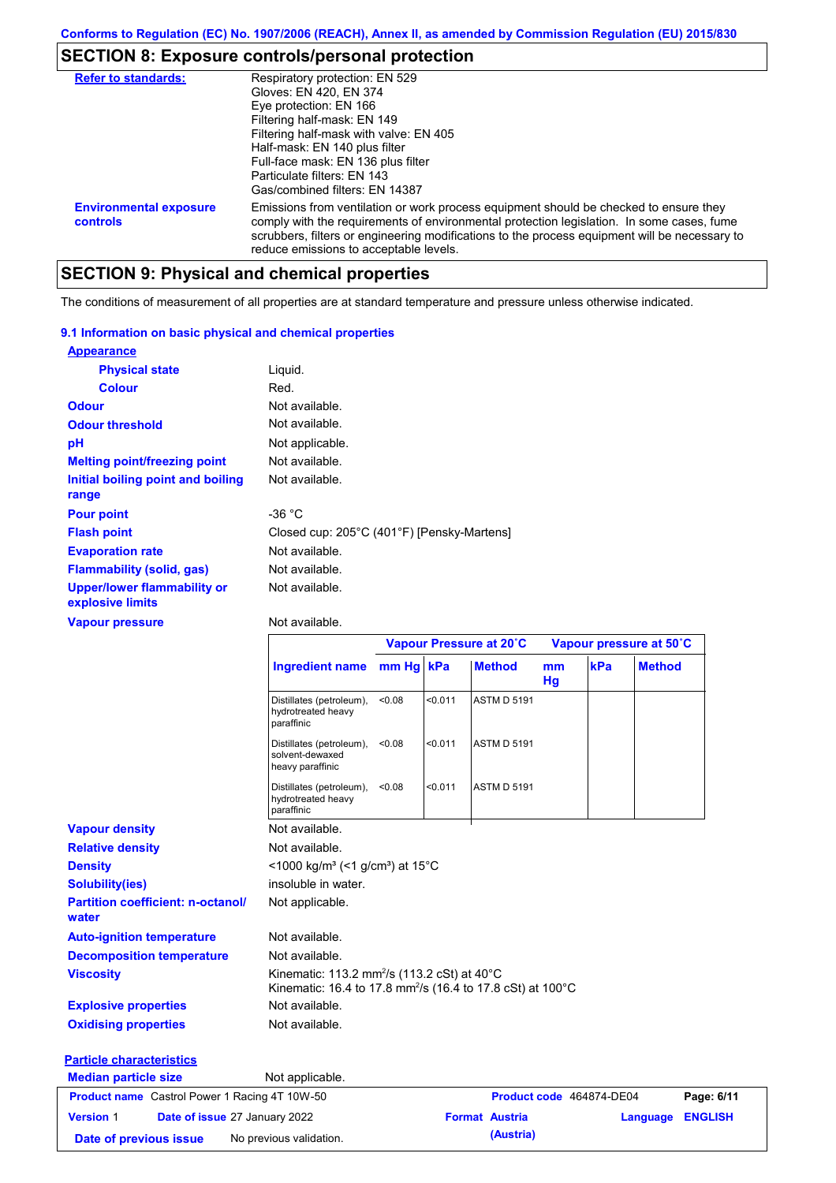# **SECTION 8: Exposure controls/personal protection**

| <b>Refer to standards:</b>                | Respiratory protection: EN 529<br>Gloves: EN 420, EN 374<br>Eye protection: EN 166<br>Filtering half-mask: EN 149<br>Filtering half-mask with valve: EN 405<br>Half-mask: EN 140 plus filter<br>Full-face mask: EN 136 plus filter<br>Particulate filters: FN 143<br>Gas/combined filters: EN 14387                           |
|-------------------------------------------|-------------------------------------------------------------------------------------------------------------------------------------------------------------------------------------------------------------------------------------------------------------------------------------------------------------------------------|
| <b>Environmental exposure</b><br>controls | Emissions from ventilation or work process equipment should be checked to ensure they<br>comply with the requirements of environmental protection legislation. In some cases, fume<br>scrubbers, filters or engineering modifications to the process equipment will be necessary to<br>reduce emissions to acceptable levels. |

# **SECTION 9: Physical and chemical properties**

The conditions of measurement of all properties are at standard temperature and pressure unless otherwise indicated.

#### **9.1 Information on basic physical and chemical properties**

| <b>Appearance</b>                                      |                                            |
|--------------------------------------------------------|--------------------------------------------|
| <b>Physical state</b>                                  | Liquid.                                    |
| <b>Colour</b>                                          | Red.                                       |
| <b>Odour</b>                                           | Not available.                             |
| <b>Odour threshold</b>                                 | Not available.                             |
| рH                                                     | Not applicable.                            |
| <b>Melting point/freezing point</b>                    | Not available.                             |
| Initial boiling point and boiling<br>range             | Not available.                             |
| <b>Pour point</b>                                      | -36 $^{\circ}$ C                           |
| <b>Flash point</b>                                     | Closed cup: 205°C (401°F) [Pensky-Martens] |
| <b>Evaporation rate</b>                                | Not available.                             |
| <b>Flammability (solid, gas)</b>                       | Not available.                             |
| <b>Upper/lower flammability or</b><br>explosive limits | Not available.                             |

#### **Vapour pressure**

Not available.

|                                                      |                                                                                                                                    | Vapour Pressure at 20°C |         |                       |          | Vapour pressure at 50°C  |               |                |
|------------------------------------------------------|------------------------------------------------------------------------------------------------------------------------------------|-------------------------|---------|-----------------------|----------|--------------------------|---------------|----------------|
|                                                      | Ingredient name mm Hg kPa                                                                                                          |                         |         | <b>Method</b>         | mm<br>Hg | kPa                      | <b>Method</b> |                |
|                                                      | Distillates (petroleum),<br>hydrotreated heavy<br>paraffinic                                                                       | < 0.08                  | < 0.011 | <b>ASTM D 5191</b>    |          |                          |               |                |
|                                                      | Distillates (petroleum),<br>solvent-dewaxed<br>heavy paraffinic                                                                    | < 0.08                  | < 0.011 | <b>ASTM D 5191</b>    |          |                          |               |                |
|                                                      | Distillates (petroleum),<br>hydrotreated heavy<br>paraffinic                                                                       | < 0.08                  | < 0.011 | <b>ASTM D 5191</b>    |          |                          |               |                |
| <b>Vapour density</b>                                | Not available.                                                                                                                     |                         |         |                       |          |                          |               |                |
| <b>Relative density</b>                              | Not available.                                                                                                                     |                         |         |                       |          |                          |               |                |
| <b>Density</b>                                       | <1000 kg/m <sup>3</sup> (<1 g/cm <sup>3</sup> ) at 15 <sup>°</sup> C                                                               |                         |         |                       |          |                          |               |                |
| <b>Solubility(ies)</b>                               | insoluble in water.                                                                                                                |                         |         |                       |          |                          |               |                |
| <b>Partition coefficient: n-octanol/</b><br>water    | Not applicable.                                                                                                                    |                         |         |                       |          |                          |               |                |
| <b>Auto-ignition temperature</b>                     | Not available.                                                                                                                     |                         |         |                       |          |                          |               |                |
| <b>Decomposition temperature</b>                     | Not available.                                                                                                                     |                         |         |                       |          |                          |               |                |
| <b>Viscosity</b>                                     | Kinematic: 113.2 mm <sup>2</sup> /s (113.2 cSt) at 40°C<br>Kinematic: 16.4 to 17.8 mm <sup>2</sup> /s (16.4 to 17.8 cSt) at 100 °C |                         |         |                       |          |                          |               |                |
| <b>Explosive properties</b>                          | Not available.                                                                                                                     |                         |         |                       |          |                          |               |                |
| <b>Oxidising properties</b>                          | Not available.                                                                                                                     |                         |         |                       |          |                          |               |                |
| <b>Particle characteristics</b>                      |                                                                                                                                    |                         |         |                       |          |                          |               |                |
| <b>Median particle size</b>                          | Not applicable.                                                                                                                    |                         |         |                       |          |                          |               |                |
| <b>Product name</b> Castrol Power 1 Racing 4T 10W-50 |                                                                                                                                    |                         |         |                       |          | Product code 464874-DE04 |               | Page: 6/11     |
| <b>Version 1</b><br>Date of issue 27 January 2022    |                                                                                                                                    |                         |         | <b>Format Austria</b> |          |                          | Language      | <b>ENGLISH</b> |
| Date of previous issue                               | No previous validation.                                                                                                            |                         |         | (Austria)             |          |                          |               |                |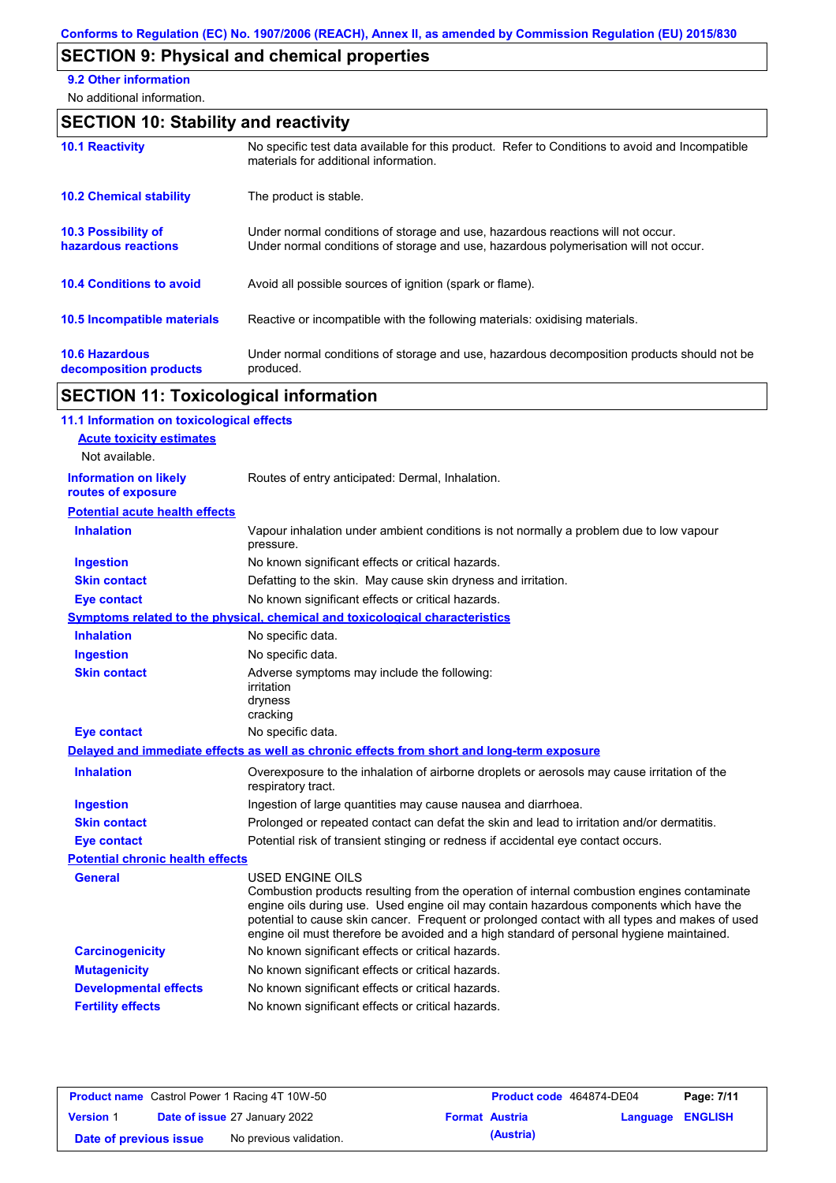# **SECTION 9: Physical and chemical properties**

**9.2 Other information**

No additional information.

# **SECTION 10: Stability and reactivity**

| <b>10.1 Reactivity</b>                            | No specific test data available for this product. Refer to Conditions to avoid and Incompatible<br>materials for additional information.                                |
|---------------------------------------------------|-------------------------------------------------------------------------------------------------------------------------------------------------------------------------|
| <b>10.2 Chemical stability</b>                    | The product is stable.                                                                                                                                                  |
| <b>10.3 Possibility of</b><br>hazardous reactions | Under normal conditions of storage and use, hazardous reactions will not occur.<br>Under normal conditions of storage and use, hazardous polymerisation will not occur. |
| <b>10.4 Conditions to avoid</b>                   | Avoid all possible sources of ignition (spark or flame).                                                                                                                |
| <b>10.5 Incompatible materials</b>                | Reactive or incompatible with the following materials: oxidising materials.                                                                                             |
| <b>10.6 Hazardous</b><br>decomposition products   | Under normal conditions of storage and use, hazardous decomposition products should not be<br>produced.                                                                 |

# **SECTION 11: Toxicological information**

| 11.1 Information on toxicological effects          |                                                                                                                                                                                                                                                                                                                                                                                                                 |
|----------------------------------------------------|-----------------------------------------------------------------------------------------------------------------------------------------------------------------------------------------------------------------------------------------------------------------------------------------------------------------------------------------------------------------------------------------------------------------|
| <b>Acute toxicity estimates</b>                    |                                                                                                                                                                                                                                                                                                                                                                                                                 |
| Not available.                                     |                                                                                                                                                                                                                                                                                                                                                                                                                 |
| <b>Information on likely</b><br>routes of exposure | Routes of entry anticipated: Dermal, Inhalation.                                                                                                                                                                                                                                                                                                                                                                |
| <b>Potential acute health effects</b>              |                                                                                                                                                                                                                                                                                                                                                                                                                 |
| <b>Inhalation</b>                                  | Vapour inhalation under ambient conditions is not normally a problem due to low vapour<br>pressure.                                                                                                                                                                                                                                                                                                             |
| <b>Ingestion</b>                                   | No known significant effects or critical hazards.                                                                                                                                                                                                                                                                                                                                                               |
| <b>Skin contact</b>                                | Defatting to the skin. May cause skin dryness and irritation.                                                                                                                                                                                                                                                                                                                                                   |
| <b>Eye contact</b>                                 | No known significant effects or critical hazards.                                                                                                                                                                                                                                                                                                                                                               |
|                                                    | Symptoms related to the physical, chemical and toxicological characteristics                                                                                                                                                                                                                                                                                                                                    |
| <b>Inhalation</b>                                  | No specific data.                                                                                                                                                                                                                                                                                                                                                                                               |
| <b>Ingestion</b>                                   | No specific data.                                                                                                                                                                                                                                                                                                                                                                                               |
| <b>Skin contact</b>                                | Adverse symptoms may include the following:<br>irritation<br>dryness<br>cracking                                                                                                                                                                                                                                                                                                                                |
| <b>Eye contact</b>                                 | No specific data.                                                                                                                                                                                                                                                                                                                                                                                               |
|                                                    | Delayed and immediate effects as well as chronic effects from short and long-term exposure                                                                                                                                                                                                                                                                                                                      |
| <b>Inhalation</b>                                  | Overexposure to the inhalation of airborne droplets or aerosols may cause irritation of the<br>respiratory tract.                                                                                                                                                                                                                                                                                               |
| <b>Ingestion</b>                                   | Ingestion of large quantities may cause nausea and diarrhoea.                                                                                                                                                                                                                                                                                                                                                   |
| <b>Skin contact</b>                                | Prolonged or repeated contact can defat the skin and lead to irritation and/or dermatitis.                                                                                                                                                                                                                                                                                                                      |
| <b>Eye contact</b>                                 | Potential risk of transient stinging or redness if accidental eye contact occurs.                                                                                                                                                                                                                                                                                                                               |
| <b>Potential chronic health effects</b>            |                                                                                                                                                                                                                                                                                                                                                                                                                 |
| <b>General</b>                                     | <b>USED ENGINE OILS</b><br>Combustion products resulting from the operation of internal combustion engines contaminate<br>engine oils during use. Used engine oil may contain hazardous components which have the<br>potential to cause skin cancer. Frequent or prolonged contact with all types and makes of used<br>engine oil must therefore be avoided and a high standard of personal hygiene maintained. |
| <b>Carcinogenicity</b>                             | No known significant effects or critical hazards.                                                                                                                                                                                                                                                                                                                                                               |
| <b>Mutagenicity</b>                                | No known significant effects or critical hazards.                                                                                                                                                                                                                                                                                                                                                               |
| <b>Developmental effects</b>                       | No known significant effects or critical hazards.                                                                                                                                                                                                                                                                                                                                                               |
| <b>Fertility effects</b>                           | No known significant effects or critical hazards.                                                                                                                                                                                                                                                                                                                                                               |
|                                                    |                                                                                                                                                                                                                                                                                                                                                                                                                 |

|                        | <b>Product name</b> Castrol Power 1 Racing 4T 10W-50 | <b>Product code</b> 464874-DE04 |                         | Page: 7/11 |
|------------------------|------------------------------------------------------|---------------------------------|-------------------------|------------|
| <b>Version 1</b>       | <b>Date of issue 27 January 2022</b>                 | <b>Format Austria</b>           | <b>Language ENGLISH</b> |            |
| Date of previous issue | No previous validation.                              | (Austria)                       |                         |            |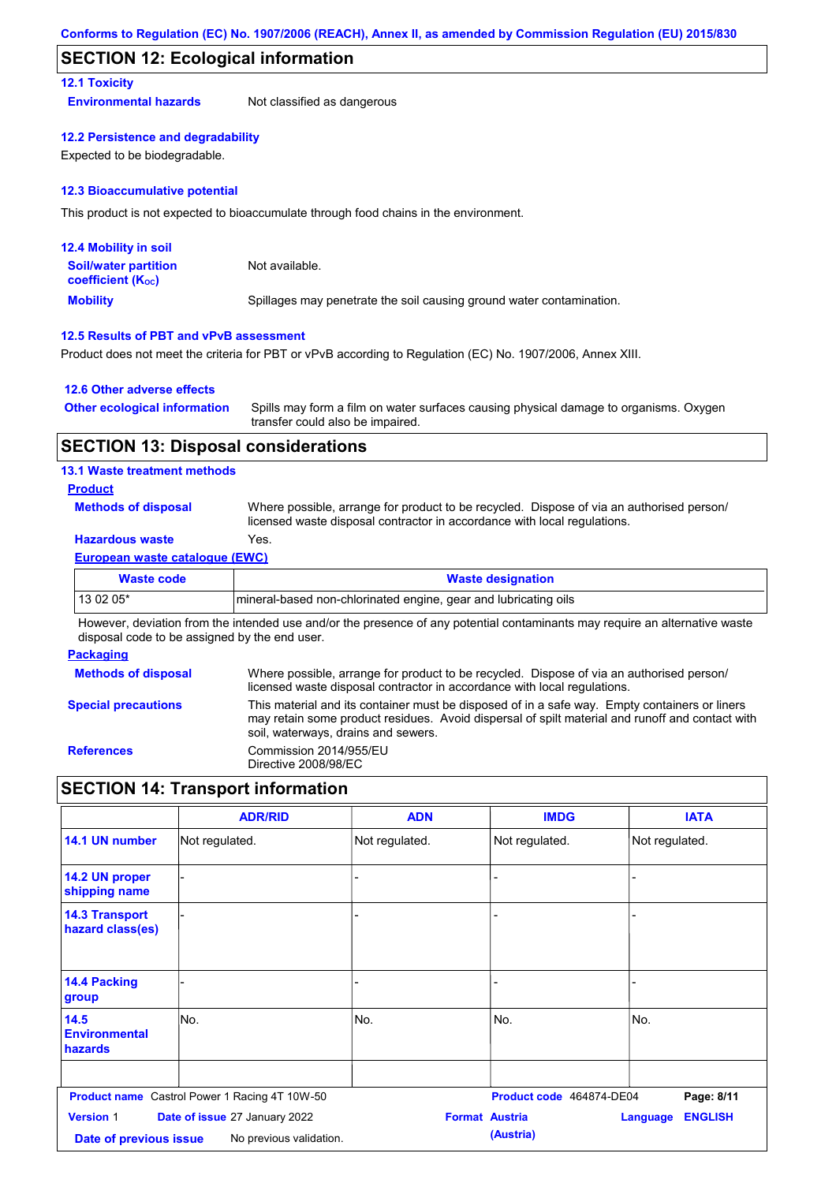### **SECTION 12: Ecological information**

#### **12.1 Toxicity**

**Environmental hazards** Not classified as dangerous

#### **12.2 Persistence and degradability**

Expected to be biodegradable.

#### **12.3 Bioaccumulative potential**

This product is not expected to bioaccumulate through food chains in the environment.

| <b>12.4 Mobility in soil</b>                                  |                                                                      |
|---------------------------------------------------------------|----------------------------------------------------------------------|
| <b>Soil/water partition</b><br>coefficient (K <sub>oc</sub> ) | Not available.                                                       |
| <b>Mobility</b>                                               | Spillages may penetrate the soil causing ground water contamination. |

#### **12.5 Results of PBT and vPvB assessment**

Product does not meet the criteria for PBT or vPvB according to Regulation (EC) No. 1907/2006, Annex XIII.

#### **12.6 Other adverse effects**

| <b>Other ecological information</b> | Spills may form a film on water surfaces causing physical damage to organisms. Oxygen |
|-------------------------------------|---------------------------------------------------------------------------------------|
|                                     | transfer could also be impaired.                                                      |

#### **SECTION 13: Disposal considerations**

#### **13.1 Waste treatment methods**

#### **Product**

**Methods of disposal**

Where possible, arrange for product to be recycled. Dispose of via an authorised person/ licensed waste disposal contractor in accordance with local regulations.

### **Hazardous waste** Yes.

#### **European waste catalogue (EWC)**

| Waste code | <b>Waste designation</b>                                         |
|------------|------------------------------------------------------------------|
| $130205*$  | Imineral-based non-chlorinated engine, gear and lubricating oils |

However, deviation from the intended use and/or the presence of any potential contaminants may require an alternative waste disposal code to be assigned by the end user.

#### **Packaging**

| <b>Methods of disposal</b> | Where possible, arrange for product to be recycled. Dispose of via an authorised person/<br>licensed waste disposal contractor in accordance with local regulations.                                                                    |
|----------------------------|-----------------------------------------------------------------------------------------------------------------------------------------------------------------------------------------------------------------------------------------|
| <b>Special precautions</b> | This material and its container must be disposed of in a safe way. Empty containers or liners<br>may retain some product residues. Avoid dispersal of spilt material and runoff and contact with<br>soil, waterways, drains and sewers. |
| <b>References</b>          | Commission 2014/955/EU<br>Directive 2008/98/EC                                                                                                                                                                                          |

### **SECTION 14: Transport information**

|                                            | <b>ADR/RID</b>                                           | <b>ADN</b>            | <b>IMDG</b>              | <b>IATA</b>                |
|--------------------------------------------|----------------------------------------------------------|-----------------------|--------------------------|----------------------------|
| 14.1 UN number                             | Not regulated.                                           | Not regulated.        | Not regulated.           | Not regulated.             |
| 14.2 UN proper<br>shipping name            |                                                          | -                     |                          |                            |
| <b>14.3 Transport</b><br>hazard class(es)  |                                                          |                       |                          |                            |
| 14.4 Packing<br>group                      |                                                          |                       |                          |                            |
| 14.5<br><b>Environmental</b><br>hazards    | No.                                                      | No.                   | No.                      | No.                        |
|                                            | <b>Product name</b> Castrol Power 1 Racing 4T 10W-50     |                       | Product code 464874-DE04 | Page: 8/11                 |
| <b>Version 1</b><br>Date of previous issue | Date of issue 27 January 2022<br>No previous validation. | <b>Format Austria</b> | (Austria)                | <b>ENGLISH</b><br>Language |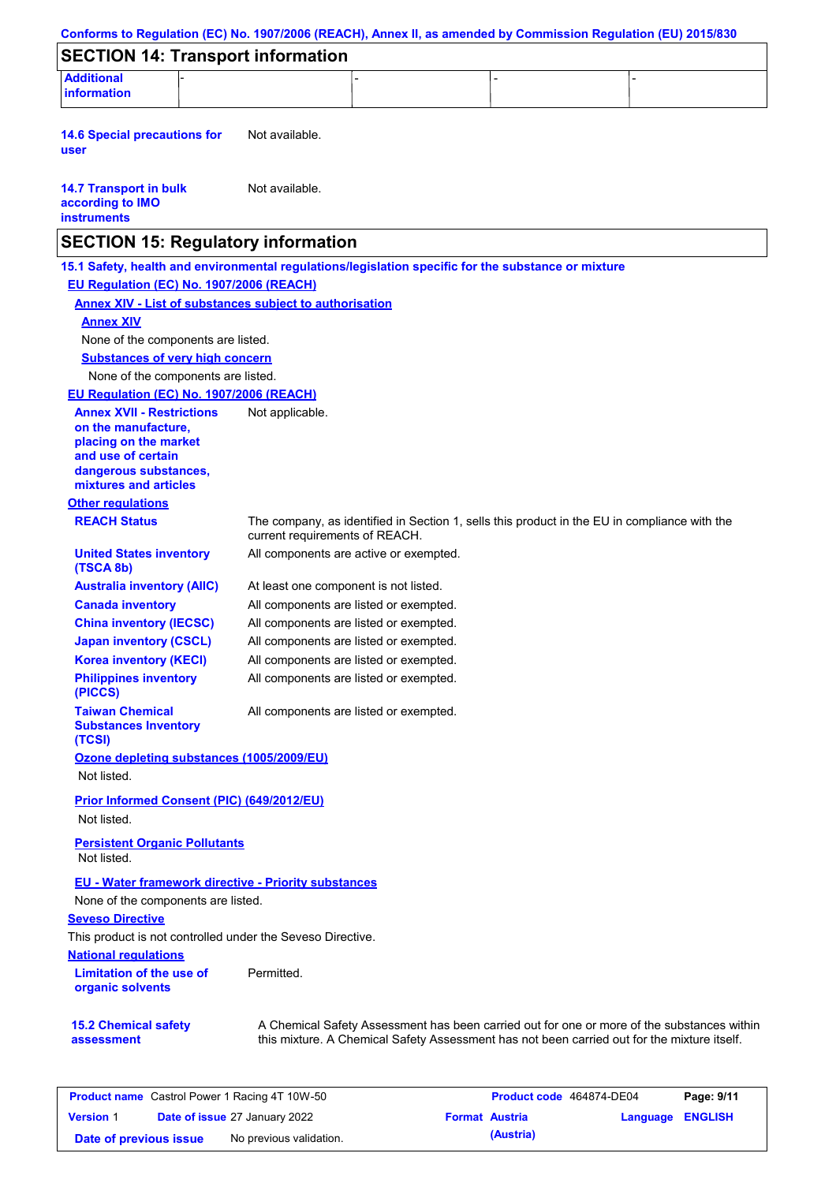| Conforms to Regulation (EC) No. 1907/2006 (REACH), Annex II, as amended by Commission Regulation (EU) 2015/830 |                                                                                                     |                                                                                              |
|----------------------------------------------------------------------------------------------------------------|-----------------------------------------------------------------------------------------------------|----------------------------------------------------------------------------------------------|
| <b>SECTION 14: Transport information</b>                                                                       |                                                                                                     |                                                                                              |
| <b>Additional</b><br><b>information</b>                                                                        |                                                                                                     |                                                                                              |
| <b>14.6 Special precautions for</b><br>user                                                                    | Not available.                                                                                      |                                                                                              |
| <b>14.7 Transport in bulk</b><br>according to IMO<br><b>instruments</b>                                        | Not available.                                                                                      |                                                                                              |
| <b>SECTION 15: Regulatory information</b>                                                                      |                                                                                                     |                                                                                              |
|                                                                                                                | 15.1 Safety, health and environmental regulations/legislation specific for the substance or mixture |                                                                                              |
| EU Regulation (EC) No. 1907/2006 (REACH)                                                                       |                                                                                                     |                                                                                              |
|                                                                                                                | <b>Annex XIV - List of substances subject to authorisation</b>                                      |                                                                                              |
| <b>Annex XIV</b>                                                                                               |                                                                                                     |                                                                                              |
| None of the components are listed.                                                                             |                                                                                                     |                                                                                              |
| <b>Substances of very high concern</b>                                                                         |                                                                                                     |                                                                                              |
| None of the components are listed.                                                                             |                                                                                                     |                                                                                              |
| EU Regulation (EC) No. 1907/2006 (REACH)                                                                       |                                                                                                     |                                                                                              |
| <b>Annex XVII - Restrictions</b>                                                                               | Not applicable.                                                                                     |                                                                                              |
| on the manufacture,                                                                                            |                                                                                                     |                                                                                              |
| placing on the market<br>and use of certain                                                                    |                                                                                                     |                                                                                              |
| dangerous substances,<br>mixtures and articles                                                                 |                                                                                                     |                                                                                              |
| <b>Other regulations</b>                                                                                       |                                                                                                     |                                                                                              |
| <b>REACH Status</b>                                                                                            | current requirements of REACH.                                                                      | The company, as identified in Section 1, sells this product in the EU in compliance with the |
| <b>United States inventory</b><br>(TSCA 8b)                                                                    | All components are active or exempted.                                                              |                                                                                              |
| <b>Australia inventory (AIIC)</b>                                                                              | At least one component is not listed.                                                               |                                                                                              |
| <b>Canada inventory</b>                                                                                        | All components are listed or exempted.                                                              |                                                                                              |
| <b>China inventory (IECSC)</b>                                                                                 | All components are listed or exempted.                                                              |                                                                                              |
| <b>Japan inventory (CSCL)</b>                                                                                  | All components are listed or exempted.                                                              |                                                                                              |
| <b>Korea inventory (KECI)</b>                                                                                  | All components are listed or exempted.                                                              |                                                                                              |
| <b>Philippines inventory</b><br>(PICCS)                                                                        | All components are listed or exempted.                                                              |                                                                                              |
| <b>Taiwan Chemical</b><br><b>Substances Inventory</b><br>(TCSI)                                                | All components are listed or exempted.                                                              |                                                                                              |
| Ozone depleting substances (1005/2009/EU)                                                                      |                                                                                                     |                                                                                              |
| Not listed.                                                                                                    |                                                                                                     |                                                                                              |
|                                                                                                                |                                                                                                     |                                                                                              |
| <b>Prior Informed Consent (PIC) (649/2012/EU)</b><br>Not listed.                                               |                                                                                                     |                                                                                              |
| <b>Persistent Organic Pollutants</b><br>Not listed.                                                            |                                                                                                     |                                                                                              |
| <b>EU - Water framework directive - Priority substances</b>                                                    |                                                                                                     |                                                                                              |
| None of the components are listed.                                                                             |                                                                                                     |                                                                                              |
| <b>Seveso Directive</b>                                                                                        |                                                                                                     |                                                                                              |
| This product is not controlled under the Seveso Directive.                                                     |                                                                                                     |                                                                                              |
| <b>National requlations</b>                                                                                    |                                                                                                     |                                                                                              |
| <b>Limitation of the use of</b><br>organic solvents                                                            | Permitted.                                                                                          |                                                                                              |
| <b>15.2 Chemical safety</b>                                                                                    | A Chemical Safety Assessment has been carried out for one or more of the substances within          |                                                                                              |

| <b>Product name</b> Castrol Power 1 Racing 4T 10W-50 |  |                                      | Product code 464874-DE04 |                       | Page: 9/11              |  |
|------------------------------------------------------|--|--------------------------------------|--------------------------|-----------------------|-------------------------|--|
| <b>Version 1</b>                                     |  | <b>Date of issue 27 January 2022</b> |                          | <b>Format Austria</b> | <b>Language ENGLISH</b> |  |
| Date of previous issue                               |  | No previous validation.              |                          | (Austria)             |                         |  |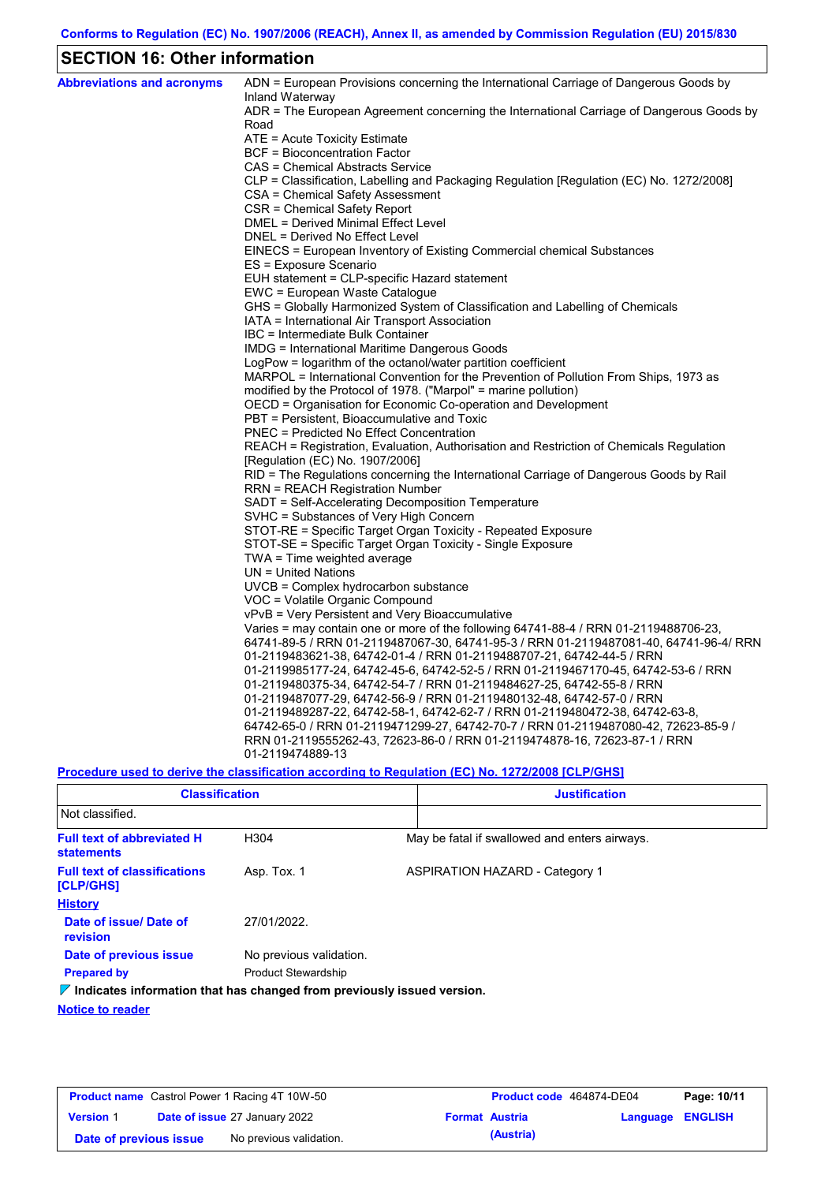## **SECTION 16: Other information**

| <b>Abbreviations and acronyms</b> | ADN = European Provisions concerning the International Carriage of Dangerous Goods by<br>Inland Waterway |
|-----------------------------------|----------------------------------------------------------------------------------------------------------|
|                                   | ADR = The European Agreement concerning the International Carriage of Dangerous Goods by<br>Road         |
|                                   | ATE = Acute Toxicity Estimate                                                                            |
|                                   | <b>BCF</b> = Bioconcentration Factor                                                                     |
|                                   | CAS = Chemical Abstracts Service                                                                         |
|                                   | CLP = Classification, Labelling and Packaging Regulation [Regulation (EC) No. 1272/2008]                 |
|                                   | CSA = Chemical Safety Assessment                                                                         |
|                                   | CSR = Chemical Safety Report                                                                             |
|                                   | DMEL = Derived Minimal Effect Level                                                                      |
|                                   | DNEL = Derived No Effect Level                                                                           |
|                                   | EINECS = European Inventory of Existing Commercial chemical Substances                                   |
|                                   | ES = Exposure Scenario                                                                                   |
|                                   | EUH statement = CLP-specific Hazard statement                                                            |
|                                   | EWC = European Waste Catalogue                                                                           |
|                                   | GHS = Globally Harmonized System of Classification and Labelling of Chemicals                            |
|                                   | IATA = International Air Transport Association                                                           |
|                                   | IBC = Intermediate Bulk Container                                                                        |
|                                   | IMDG = International Maritime Dangerous Goods                                                            |
|                                   | LogPow = logarithm of the octanol/water partition coefficient                                            |
|                                   | MARPOL = International Convention for the Prevention of Pollution From Ships, 1973 as                    |
|                                   | modified by the Protocol of 1978. ("Marpol" = marine pollution)                                          |
|                                   | OECD = Organisation for Economic Co-operation and Development                                            |
|                                   | PBT = Persistent, Bioaccumulative and Toxic                                                              |
|                                   | <b>PNEC</b> = Predicted No Effect Concentration                                                          |
|                                   | REACH = Registration, Evaluation, Authorisation and Restriction of Chemicals Regulation                  |
|                                   | [Regulation (EC) No. 1907/2006]                                                                          |
|                                   | RID = The Regulations concerning the International Carriage of Dangerous Goods by Rail                   |
|                                   | <b>RRN = REACH Registration Number</b>                                                                   |
|                                   | SADT = Self-Accelerating Decomposition Temperature                                                       |
|                                   | SVHC = Substances of Very High Concern                                                                   |
|                                   | STOT-RE = Specific Target Organ Toxicity - Repeated Exposure                                             |
|                                   | STOT-SE = Specific Target Organ Toxicity - Single Exposure                                               |
|                                   | TWA = Time weighted average                                                                              |
|                                   | $UN = United Nations$                                                                                    |
|                                   | $UVCB = Complex\;hydrocarbon\; substance$<br>VOC = Volatile Organic Compound                             |
|                                   | vPvB = Very Persistent and Very Bioaccumulative                                                          |
|                                   | Varies = may contain one or more of the following 64741-88-4 / RRN 01-2119488706-23,                     |
|                                   | 64741-89-5 / RRN 01-2119487067-30, 64741-95-3 / RRN 01-2119487081-40, 64741-96-4/ RRN                    |
|                                   | 01-2119483621-38, 64742-01-4 / RRN 01-2119488707-21, 64742-44-5 / RRN                                    |
|                                   | 01-2119985177-24, 64742-45-6, 64742-52-5 / RRN 01-2119467170-45, 64742-53-6 / RRN                        |
|                                   | 01-2119480375-34, 64742-54-7 / RRN 01-2119484627-25, 64742-55-8 / RRN                                    |
|                                   | 01-2119487077-29, 64742-56-9 / RRN 01-2119480132-48, 64742-57-0 / RRN                                    |
|                                   | 01-2119489287-22, 64742-58-1, 64742-62-7 / RRN 01-2119480472-38, 64742-63-8,                             |
|                                   | 64742-65-0 / RRN 01-2119471299-27, 64742-70-7 / RRN 01-2119487080-42, 72623-85-9 /                       |
|                                   | RRN 01-2119555262-43, 72623-86-0 / RRN 01-2119474878-16, 72623-87-1 / RRN                                |
|                                   | 01-2119474889-13                                                                                         |
|                                   |                                                                                                          |

**Procedure used to derive the classification according to Regulation (EC) No. 1272/2008 [CLP/GHS]**

| <b>Classification</b>                                                           |                            | <b>Justification</b> |                                               |  |
|---------------------------------------------------------------------------------|----------------------------|----------------------|-----------------------------------------------|--|
| Not classified.                                                                 |                            |                      |                                               |  |
| <b>Full text of abbreviated H</b><br><b>statements</b>                          | H <sub>304</sub>           |                      | May be fatal if swallowed and enters airways. |  |
| <b>Full text of classifications</b><br>[CLP/GHS]                                | Asp. Tox. 1                |                      | <b>ASPIRATION HAZARD - Category 1</b>         |  |
| <b>History</b>                                                                  |                            |                      |                                               |  |
| Date of issue/ Date of<br>revision                                              | 27/01/2022                 |                      |                                               |  |
| Date of previous issue                                                          | No previous validation.    |                      |                                               |  |
| <b>Prepared by</b>                                                              | <b>Product Stewardship</b> |                      |                                               |  |
| $\nabla$ Indicates information that has changed from previously issued version. |                            |                      |                                               |  |

**Notice to reader**

| <b>Product name</b> Castrol Power 1 Racing 4T 10W-50 |  |                                      | Product code 464874-DE04 |           | Page: 10/11      |  |
|------------------------------------------------------|--|--------------------------------------|--------------------------|-----------|------------------|--|
| <b>Version 1</b>                                     |  | <b>Date of issue 27 January 2022</b> | <b>Format Austria</b>    |           | Language ENGLISH |  |
| Date of previous issue                               |  | No previous validation.              |                          | (Austria) |                  |  |